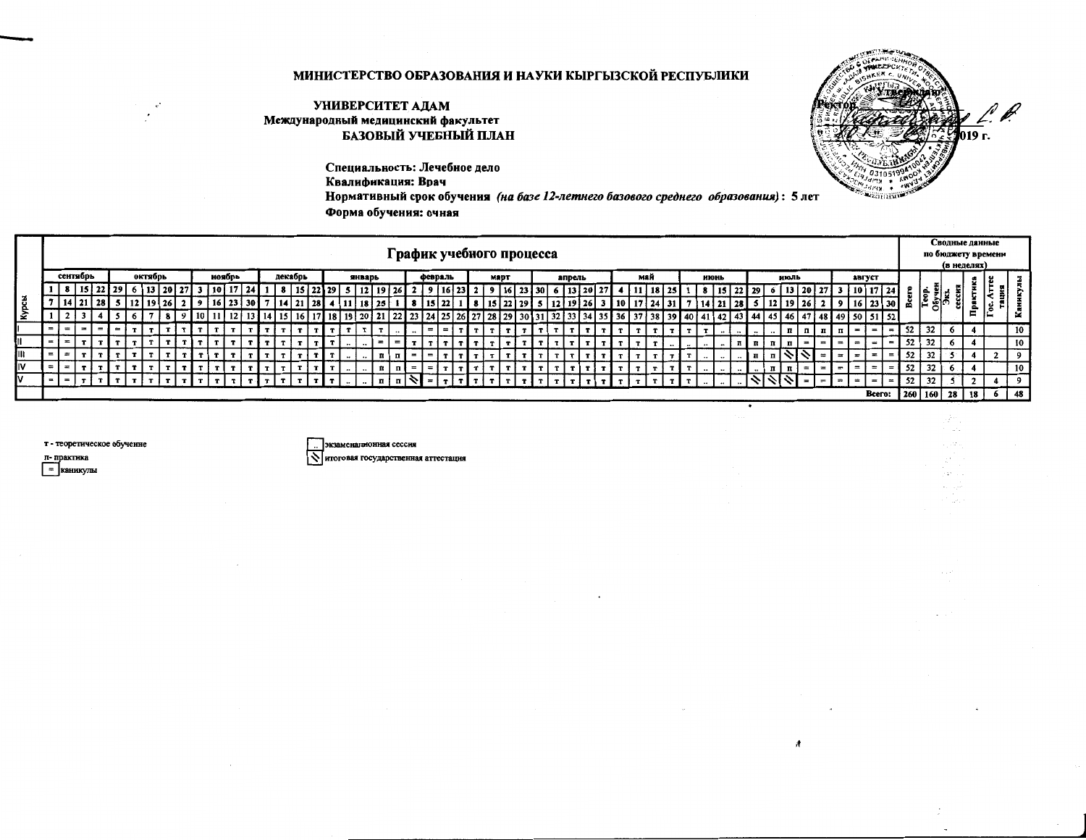## МИНИСТЕРСТВО ОБРАЗОВАНИЯ И НАУКИ КЫРГЫЗСКОЙ РЕСПУБЛИКИ

## УНИВЕРСИТЕТ АДАМ Международный медицинский факультет БАЗОВЫЙ УЧЕБНЫЙ ПЛАН

19 г.

Специальность: Лечебное дело Квалификация: Врач Нормативный срок обучения (на базе 12-летнего базового среднего образования): 5 лет Форма обучения: очная

|   |       |          |     |         |  |         |         |      |            |              |  |         |              |      |                      |                      |                                 |    |       |         | График учебного процесса |             |  |                                 |  |       |     |              |    |          |                   |                  |           |                  |              |                 |             |          |           |        |                    |                          |    |                     | Сводные данные                    |    |    |     |  |
|---|-------|----------|-----|---------|--|---------|---------|------|------------|--------------|--|---------|--------------|------|----------------------|----------------------|---------------------------------|----|-------|---------|--------------------------|-------------|--|---------------------------------|--|-------|-----|--------------|----|----------|-------------------|------------------|-----------|------------------|--------------|-----------------|-------------|----------|-----------|--------|--------------------|--------------------------|----|---------------------|-----------------------------------|----|----|-----|--|
|   |       |          |     |         |  |         |         |      |            |              |  |         |              |      |                      |                      |                                 |    |       |         |                          |             |  |                                 |  |       |     |              |    |          |                   |                  |           |                  |              |                 |             |          |           |        |                    |                          |    |                     | по бюджету времени<br>(в неделях) |    |    |     |  |
|   |       | сентябрь |     |         |  | октябрь |         |      |            | ноябрь       |  | декабрь |              |      |                      | январь               |                                 |    |       | февраль |                          | <b>MADT</b> |  | апрель                          |  |       | май |              |    |          | нюнь              |                  |           |                  |              | июль            |             |          |           | август |                    |                          |    |                     |                                   |    |    |     |  |
|   |       |          | 151 |         |  |         | ' 20.   |      | <b>110</b> |              |  |         |              |      |                      |                      |                                 | 26 |       | 16 23   |                          |             |  | 16   23   30   6   13   20   27 |  |       |     | 18           |    |          |                   | 15               |           |                  |              | 13 <sup>1</sup> | <b>20</b> I |          |           |        | 13   10   17   241 |                          |    |                     |                                   |    |    |     |  |
|   |       |          |     | 21   28 |  |         | 19   26 |      | 16         |              |  |         |              |      |                      | 18                   |                                 |    |       |         |                          |             |  |                                 |  |       |     |              |    |          |                   |                  |           |                  |              |                 |             |          |           | 16     | 23   30   ⊯        |                          |    | $\frac{1}{2}$<br>oľ |                                   | ≏  |    |     |  |
| £ |       |          |     |         |  |         |         |      |            |              |  |         |              | 18   |                      | 201                  |                                 |    |       |         |                          |             |  |                                 |  |       |     | 38           | 39 |          | $\left( 4\right)$ |                  | 4.        | -44              | -41          |                 |             |          |           |        | 48 49 50 51 52     |                          |    |                     |                                   | Е  |    | s   |  |
|   | $= 1$ |          |     |         |  |         |         |      |            |              |  |         |              |      |                      |                      |                                 |    | $=$   |         |                          |             |  |                                 |  |       |     |              |    |          |                   | $\bullet\bullet$ |           | $\bullet\bullet$ |              | п               | л           | п        | - n       |        |                    | $=$                      | 52 | 32                  | $\bullet$                         |    |    | 10  |  |
|   | $=$   |          |     |         |  |         |         |      |            |              |  |         | $\mathbf{r}$ |      | $\ddot{\phantom{1}}$ | $\ddot{\phantom{0}}$ |                                 |    | T I   |         |                          |             |  |                                 |  |       |     |              |    | $\cdots$ | $\cdots$          | $\bullet\bullet$ |           | ת   ת            | 11   11      |                 |             | $\equiv$ | $=$       | $=$    | $=$                | $\equiv$                 | 52 | 32                  |                                   |    |    | 10  |  |
|   | $= 1$ | $\equiv$ |     |         |  |         |         | TITI |            | $\mathbf{r}$ |  |         |              |      | $\cdot$              | $\cdot$              |                                 | п  | Ξ,    |         |                          |             |  |                                 |  |       |     |              |    |          |                   | $\cdots$         |           | . І п            | $\mathbf{u}$ |                 |             |          |           | $=$    | $=$ $\blacksquare$ | $=$                      | 52 | 32                  |                                   |    |    | - 9 |  |
|   | $=$   |          |     |         |  |         |         |      |            |              |  |         |              | тIтI | $\ddot{\phantom{0}}$ | $\bullet\bullet$     | $\mathfrak{n}$   $\mathfrak{n}$ |    | $= 1$ |         |                          |             |  |                                 |  | `т1 т | T.  | $\mathbf{r}$ | тI |          | $\cdots$          | $\sim$           | $\ddotsc$ | $\cdots$         | $\mathbf{u}$ | ıп              | $= 1$       |          | $= 1 = 1$ | $=$    | $=$ $\pm$          | $= 1$                    | 52 | 32                  | 6                                 |    |    | 10  |  |
|   | . .   |          |     |         |  |         |         |      |            |              |  |         |              |      |                      |                      |                                 |    |       |         |                          |             |  |                                 |  |       |     |              |    |          |                   |                  |           |                  |              |                 |             |          |           |        | $=$ $\blacksquare$ | $\overline{\phantom{a}}$ | 52 | 32                  |                                   |    |    | - 9 |  |
|   |       |          |     |         |  |         |         |      |            |              |  |         |              |      |                      |                      |                                 |    |       |         |                          |             |  |                                 |  |       |     |              |    |          |                   |                  |           |                  |              |                 |             |          |           |        | Bcero:             |                          |    | 260 160             | 28 I                              | 18 | 61 | 48  |  |
|   |       |          |     |         |  |         |         |      |            |              |  |         |              |      |                      |                      |                                 |    |       |         |                          |             |  |                                 |  |       |     |              |    |          |                   |                  |           |                  |              |                 |             |          |           |        |                    |                          |    |                     |                                   |    |    |     |  |

т - теоретическое обученне

п-практика

 $\Box$ каникулы

экзаменационная сессия Nитоговая государственная аттестация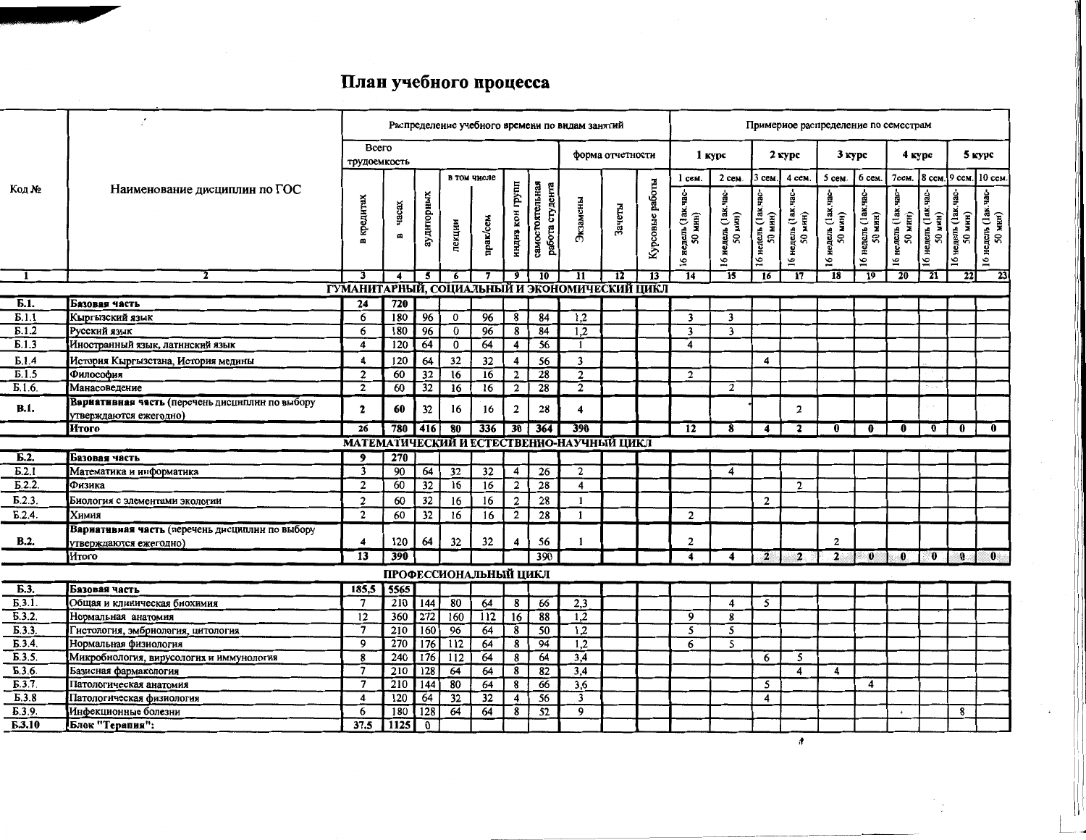## План учебного процесса

|                    |                                                                           |                            |                         |                         |          |                       |                         |                                    | Распределение учебного времени по видам занятий |                  |                 |                                               |                                       |                                             | Примерное распределение по семестрам |                                      |                                    |                                                  |                                 |                                                         |                                                           |
|--------------------|---------------------------------------------------------------------------|----------------------------|-------------------------|-------------------------|----------|-----------------------|-------------------------|------------------------------------|-------------------------------------------------|------------------|-----------------|-----------------------------------------------|---------------------------------------|---------------------------------------------|--------------------------------------|--------------------------------------|------------------------------------|--------------------------------------------------|---------------------------------|---------------------------------------------------------|-----------------------------------------------------------|
|                    |                                                                           | Bcero<br>трудоемкость      |                         |                         |          |                       |                         |                                    |                                                 | форма отчетности |                 | $1$ kypc                                      |                                       |                                             | 2 курс                               | 3 курс                               |                                    | 4 курс                                           |                                 |                                                         | 5 курс                                                    |
|                    |                                                                           |                            |                         |                         |          | в том числе           |                         |                                    |                                                 |                  |                 | $1$ cem.                                      | 2 сем.                                | 3 сем.                                      | 4 сем.                               | 5 сем.                               | 6 сем                              | 7сем.                                            | 8 сем.   9 сем.                 |                                                         | 10 сем                                                    |
| Кол №              | Наименование дисциплин по ГОС                                             | кредитах<br>$\blacksquare$ | часах<br>$\blacksquare$ | ауднторных              | лекцин   | прак/сем              | нцднв кон групп         | самостоятельная<br>работа студента | Экзамены                                        | Зачеты           | Курсовые работы | недель (1ак.час-<br>(HIH)<br>ສ<br>$\tilde{a}$ | uac-<br>недель (1ак.<br>50 мнн)<br>51 | недель (1ак.час-<br>мин)<br>${\tt s}$<br>51 | недель (1ак.<br>50 мнн)<br>5         | Sep<br>иедель (1ак.)<br>50 мин)<br>5 | -ceh<br>16 недель (1ак.<br>50 мнн) | ₫g<br>і недель (1 ак.)<br>50 мин)<br>$\tilde{ }$ | 16 недель (1ак. час-<br>50 мин) | 16 недель (1ак. час-<br>мнн)<br>$\overline{\mathbf{5}}$ | 5 недель (1ак. час-<br>50 мнн)<br>$\overline{\mathbf{5}}$ |
| -1                 | 2                                                                         | 3                          | $\overline{\mathbf{4}}$ | $\overline{\mathbf{5}}$ | 6        | 7                     | $\overline{9}$          | 10                                 | $\overline{\mathbf{11}}$                        | $\overline{12}$  | $\overline{13}$ | 14                                            | 15                                    | 16                                          | 17                                   | 18                                   | $\overline{19}$                    | 20                                               | $\overline{21}$                 | 22                                                      | 23                                                        |
|                    |                                                                           |                            |                         |                         |          |                       |                         |                                    | ГУМАНИТАРНЫЙ, СОЦИАЛЬНЫЙ И ЭКОНОМИЧЕСКИЙ ЦИКЛ   |                  |                 |                                               |                                       |                                             |                                      |                                      |                                    |                                                  |                                 |                                                         |                                                           |
| Б.1.               | Базовая часть                                                             | 24                         | 720                     |                         |          |                       |                         |                                    |                                                 |                  |                 |                                               |                                       |                                             |                                      |                                      |                                    |                                                  |                                 |                                                         |                                                           |
| E.1.1              | Кыргызский язык                                                           | 6                          | 180                     | 96                      | $\bf{0}$ | 96                    | 8                       | 84                                 | 1,2                                             |                  |                 | $\overline{\mathbf{3}}$                       | 3                                     |                                             |                                      |                                      |                                    |                                                  |                                 |                                                         |                                                           |
| E.1.2              | Русский язык                                                              | 6                          | 180                     | $\overline{96}$         | $\bf{0}$ | 96                    | 8                       | 84                                 | 1.2                                             |                  |                 | $\overline{\mathbf{3}}$                       | $\overline{\mathbf{3}}$               |                                             |                                      |                                      |                                    |                                                  |                                 |                                                         |                                                           |
| $\overline{5.1.3}$ | Иностранный язык, латниский язык                                          | 4                          | $\overline{120}$        | 64                      | $\bf{0}$ | 64                    | 4                       | 56                                 | $\mathbf{1}$                                    |                  |                 | 4                                             |                                       |                                             |                                      |                                      |                                    |                                                  |                                 |                                                         |                                                           |
| E.1.4              | История Кыргызстана, История медины                                       | $\overline{\mathbf{4}}$    | 120                     | 64                      | 32       | 32                    | $\overline{4}$          | 56                                 | 3                                               |                  |                 |                                               |                                       | 4                                           |                                      |                                      |                                    |                                                  |                                 |                                                         |                                                           |
| $\overline{B.1.5}$ | Философия                                                                 | $\overline{2}$             | 60                      | 32                      | 16       | $\overline{16}$       | $\mathbf{2}$            | 28                                 | $\overline{2}$                                  |                  |                 | $\overline{2}$                                |                                       |                                             |                                      |                                      |                                    |                                                  |                                 |                                                         |                                                           |
| E.1.6              | Манасоведение                                                             | $\overline{2}$             | 60                      | $\overline{32}$         | 16       | 16                    | $\overline{2}$          | $\overline{28}$                    | $\overline{2}$                                  |                  |                 |                                               | $\overline{2}$                        |                                             |                                      |                                      |                                    |                                                  |                                 |                                                         |                                                           |
| <b>B.1.</b>        | Вариативная часть (перечень дисциплин по выбору<br>утверждаются ежегодно) | $\mathbf{2}$               | 60                      | 32                      | 16       | 16                    | $\overline{\mathbf{c}}$ | 28                                 | 4                                               |                  |                 |                                               |                                       |                                             | $\overline{2}$                       |                                      |                                    |                                                  |                                 |                                                         |                                                           |
|                    | Итого                                                                     | $\overline{26}$            | 780                     | 416                     | 80       | 336                   | 30                      | 364                                | 390                                             |                  |                 | 12                                            | 8                                     | 4                                           | $\mathbf{z}$                         | 0                                    | $\bf{0}$                           | $\mathbf{0}$                                     | $\bf{0}$                        | $\bf{0}$                                                | $\mathbf{0}$                                              |
|                    |                                                                           |                            |                         |                         |          |                       |                         |                                    | МАТЕМАТИЧЕСКИЙ И ЕСТЕСТВЕННО-НАУЧНЫЙ ЦИКЛ       |                  |                 |                                               |                                       |                                             |                                      |                                      |                                    |                                                  |                                 |                                                         |                                                           |
| E.2.               | Базовая часть                                                             | 9                          | 270                     |                         |          |                       |                         |                                    |                                                 |                  |                 |                                               |                                       |                                             |                                      |                                      |                                    |                                                  |                                 |                                                         |                                                           |
| $\overline{b.2.1}$ | Математика и информатика                                                  | $\overline{\mathbf{3}}$    | 90                      | 64                      | 32       | $\overline{32}$       | 4                       | 26                                 | $\overline{2}$                                  |                  |                 |                                               | 4                                     |                                             |                                      |                                      |                                    |                                                  |                                 |                                                         |                                                           |
| E.2.2              | Физика                                                                    | $\overline{2}$             | 60                      | 32                      | 16       | 16                    | $\overline{2}$          | 28                                 | $\overline{\mathbf{4}}$                         |                  |                 |                                               |                                       |                                             | $\overline{2}$                       |                                      |                                    |                                                  |                                 |                                                         |                                                           |
| E.2.3              | Биология с элементами экологии                                            | $\overline{c}$             | 60                      | 32                      | 16       | 16                    | $\overline{2}$          | 28                                 | $\mathbf{1}$                                    |                  |                 |                                               |                                       | $\overline{2}$                              |                                      |                                      |                                    |                                                  |                                 |                                                         |                                                           |
| E.2.4              | Химия                                                                     | $\overline{2}$             | 60                      | 32                      | 16       | 16                    | $\overline{2}$          | 28                                 | $\mathbf{1}$                                    |                  |                 | $\overline{2}$                                |                                       |                                             |                                      |                                      |                                    |                                                  |                                 |                                                         |                                                           |
|                    | Вариативная часть (перечень дисциплин по выбору                           |                            |                         |                         |          |                       |                         |                                    |                                                 |                  |                 |                                               |                                       |                                             |                                      | $\overline{2}$                       |                                    |                                                  |                                 |                                                         |                                                           |
| B.2.               | утверждаются ежегодно)                                                    | $\boldsymbol{4}$           | 120                     | 64                      | 32       | 32                    | 4                       | 56                                 |                                                 |                  |                 | $\mathbf{2}$                                  |                                       |                                             |                                      |                                      |                                    |                                                  |                                 |                                                         | $\mathbf{0}$                                              |
|                    | Итого                                                                     | $\overline{13}$            | 390                     |                         |          |                       |                         | 390                                |                                                 |                  |                 | $\overline{4}$                                | $\overline{\mathbf{4}}$               | $\mathbf{2}$                                | $\overline{2}$                       | $\overline{\mathbf{2}}$              | $\bullet$                          | $\mathbf{0}$                                     | $\mathbf{0}$                    | 0.                                                      |                                                           |
|                    |                                                                           |                            |                         |                         |          | ПРОФЕССИОНАЛЬНЫЙ ЦИКЛ |                         |                                    |                                                 |                  |                 |                                               |                                       |                                             |                                      |                                      |                                    |                                                  |                                 |                                                         |                                                           |
| Б.З.               | Базовая часть                                                             | 185,5                      | 5565                    |                         |          |                       |                         |                                    |                                                 |                  |                 |                                               |                                       |                                             |                                      |                                      |                                    |                                                  |                                 |                                                         |                                                           |
| E.3.1              | Общая и клиническая биохимия                                              | -7                         | 210                     | $\overline{144}$        | 80       | 64                    | 8                       | 66                                 | 2,3                                             |                  |                 |                                               | 4                                     | 5                                           |                                      |                                      |                                    |                                                  |                                 |                                                         |                                                           |
| $\overline{5.3.2}$ | Нормальная анатомия                                                       | 12                         | 360                     | 272                     | 160      | 112                   | $\overline{16}$         | 88                                 | 1,2                                             |                  |                 | 9                                             | 8                                     |                                             |                                      |                                      |                                    |                                                  |                                 |                                                         |                                                           |
| E.3.3.             | Гистология, эмбриология, цитология                                        | $\overline{7}$             | 210                     | 160                     | 96       | 64                    | 8                       | $\overline{50}$                    | 1,2                                             |                  |                 | 5                                             | 5                                     |                                             |                                      |                                      |                                    |                                                  |                                 |                                                         |                                                           |
| Б.3.4.             | Нормальная физиология                                                     | $\mathbf{Q}$               | 270                     | 176                     | 112      | 64                    | 8                       | 94                                 | 1,2                                             |                  |                 | 6                                             | 5                                     |                                             |                                      |                                      |                                    |                                                  |                                 |                                                         |                                                           |
| E.3.5.             | Микробиология, вирусология и иммунология                                  | 8                          | 240                     | 176                     | 112      | 64                    | 8                       | 64                                 | 3,4                                             |                  |                 |                                               |                                       | 6                                           | 5<br>4                               |                                      |                                    |                                                  |                                 |                                                         |                                                           |
| $\overline{b.3.6}$ | Базисная фармакология                                                     | $\overline{7}$<br>7        | 210                     | 128                     | 64       | 64                    | 8                       | 82                                 | 3,4                                             |                  |                 |                                               |                                       | 5                                           |                                      | 4                                    | 4                                  |                                                  |                                 |                                                         |                                                           |
| E.3.7<br>E.3.8     | Патологическая анатомия                                                   | $\overline{\mathbf{4}}$    | 210<br>120              | 144<br>64               | 80<br>32 | 64<br>32              | 8<br>$\overline{4}$     | 66<br>56                           | $\overline{3,6}$<br>$\overline{\mathbf{3}}$     |                  |                 |                                               |                                       | 4                                           |                                      |                                      |                                    |                                                  |                                 |                                                         |                                                           |
| E.3.9.             | Патологическая физиология<br>Инфекционные болезни                         | 6                          | 180                     | 128                     | 64       | 64                    | 8                       | 52                                 | 9                                               |                  |                 |                                               |                                       |                                             |                                      |                                      |                                    | $\star$                                          |                                 | 8                                                       |                                                           |
| Б.З.10             | Блок "Терапия":                                                           | 37.5                       | 1125                    | $\mathbf 0$             |          |                       |                         |                                    |                                                 |                  |                 |                                               |                                       |                                             |                                      |                                      |                                    |                                                  |                                 |                                                         |                                                           |
|                    |                                                                           |                            |                         |                         |          |                       |                         |                                    |                                                 |                  |                 |                                               |                                       |                                             |                                      |                                      |                                    |                                                  |                                 |                                                         |                                                           |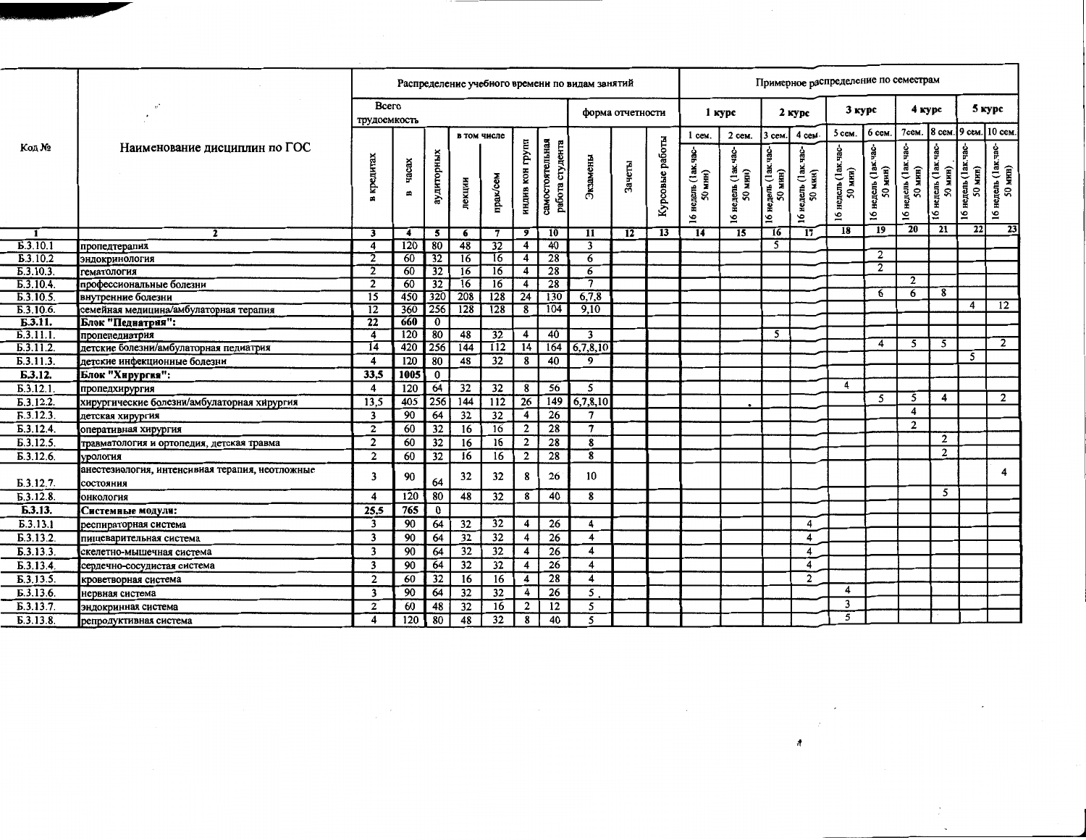|                                   |                                                              |                         |            |                 |                  |                 |                 |                                    | Распределение учебного времени по видам занятий |                  |                 |                           |                        |                                                      |                                    | Примерное распределение по семестрам |                                                  |                                  |                         |                         |                          |
|-----------------------------------|--------------------------------------------------------------|-------------------------|------------|-----------------|------------------|-----------------|-----------------|------------------------------------|-------------------------------------------------|------------------|-----------------|---------------------------|------------------------|------------------------------------------------------|------------------------------------|--------------------------------------|--------------------------------------------------|----------------------------------|-------------------------|-------------------------|--------------------------|
|                                   |                                                              | Bcero<br>трудоемкость   |            |                 |                  |                 |                 |                                    |                                                 | форма отчетности |                 |                           | 1 курс                 |                                                      | $2$ kypc                           | 3 курс                               |                                                  | 4 курс                           |                         |                         | 5 курс                   |
|                                   |                                                              |                         |            |                 | в том числе      |                 |                 |                                    |                                                 |                  |                 | $1$ cem.                  | 2 сем.                 | 3 сем.                                               | 4 cew-                             | 5 сем.                               | 6 сем.                                           | 7сем.                            | 8 сем                   | 19 сем.                 | 10 сем.                  |
| Код №                             | Наименование дисциплин по ГОС                                |                         |            |                 |                  |                 | прупп           |                                    |                                                 |                  |                 | ġ                         |                        |                                                      |                                    | р.<br>Р                              |                                                  | -den.                            | yac-                    | е.<br>Р                 |                          |
|                                   |                                                              | кредитах                | vacax<br>B | аудиторных      | лекции           | прак/сем        | ндня кон        | самостоятельная<br>работа студента | Экзамены                                        | Зачеты           | Курсовые работы | недель (1ак.<br>NHH)<br>ຸ | недель (1ак<br>50 мнн) | недель (1ак. час-<br>мин)<br>$\overline{\mathbf{S}}$ | недель (1ак.<br><b>мин</b> )<br>SO | і недель (1ак.)<br>50 мин)           | недель (1ак<br>мин)<br>$\boldsymbol{\mathsf{s}}$ | недель (1ак.)<br>50 млн)<br>мин) | недель (1ак.<br>50 мин) | недель (1ак.<br>50 млн) | недель (1ак.)<br>50 мнн) |
|                                   |                                                              |                         |            |                 |                  |                 |                 |                                    |                                                 |                  |                 | $\overline{16}$           | $\overline{16}$        | 51                                                   | 16                                 | $\tilde{\mathbf{S}}$                 | 51                                               | $\overline{6}$                   | $\mathfrak{g}_1$        | 5                       | 51                       |
|                                   | $\mathbf{z}$                                                 | 3                       | 4          | 5               | 6                | 7               | $\overline{9}$  | 10                                 | 11                                              | 12               | 13              | 14                        | 15                     | 16                                                   | 17                                 | 18                                   | $\overline{19}$                                  | $\overline{20}$                  | $\overline{21}$         | $\overline{22}$         | $\overline{23}$          |
| E.3.10.1                          | пропедтерапия                                                | 4                       | 120        | 80              | 48               | 32              | 4               | 40                                 | 3                                               |                  |                 |                           |                        | $\overline{5}$                                       |                                    |                                      |                                                  |                                  |                         |                         |                          |
| E.3.10.2                          | ЭНДОКРИНОЛОГИЯ                                               | $\overline{2}$          | 60         | 32              | 16               | 16              | $\overline{4}$  | 28                                 | 6                                               |                  |                 |                           |                        |                                                      |                                    |                                      | $\overline{2}$                                   |                                  |                         |                         |                          |
| E.3.10.3                          | гематология                                                  | $\overline{2}$          | 60         | $\overline{32}$ | 16               | $\overline{16}$ | 4               | 28                                 | 6                                               |                  |                 |                           |                        |                                                      |                                    |                                      | $\mathbf{2}$                                     |                                  |                         |                         |                          |
| E.3.10.4                          | профессиональные болезни                                     | $\overline{2}$          | 60         | $\overline{32}$ | $\overline{16}$  | $\overline{16}$ | 4               | $\overline{28}$                    | $\overline{\tau}$                               |                  |                 |                           |                        |                                                      |                                    |                                      |                                                  | $\overline{2}$                   |                         |                         |                          |
| E.3.10.5                          | внутренние болезни                                           | $\overline{15}$         | 450        | 320             | $-208$           | 128             | 24              | 130                                | 6,7,8                                           |                  |                 |                           |                        |                                                      |                                    |                                      | 6                                                | 6                                | 8                       |                         |                          |
| E.3.10.6.                         | семейная медицина/амбулаторная терапия                       | $\overline{12}$         | 360        | 256             | 128              | 128             | 8               | 104                                | 9,10                                            |                  |                 |                           |                        |                                                      |                                    |                                      |                                                  |                                  |                         | 4                       | $\overline{12}$          |
| Б.3.11.                           | Блок "Педнатрия":                                            | $\overline{22}$         | 660        | $\overline{0}$  |                  |                 |                 |                                    |                                                 |                  |                 |                           |                        |                                                      |                                    |                                      |                                                  |                                  |                         |                         |                          |
| $\overline{B.3.11.1.}$            | пропепедиатрия                                               | $\overline{4}$          | 120        | 80              | 48               | 32              | 4               | 40                                 | 3                                               |                  |                 |                           |                        | 5                                                    |                                    |                                      |                                                  |                                  |                         |                         |                          |
| $\overline{b}.\overline{3}.11.2.$ | детские болезни/амбулаторная педиатрия                       | $\overline{14}$         | 420        | 256             | 144              | 112             | 14              | 164                                | 6,7,8,10                                        |                  |                 |                           |                        |                                                      |                                    |                                      | 4                                                | 5                                | 5                       |                         | $\overline{2}$           |
| Б.3.11.3.                         | детские инфекционные болезни                                 | $\overline{\mathbf{4}}$ | 120        | 80              | 48               | 32              | 8               | 40                                 | 9                                               |                  |                 |                           |                        |                                                      |                                    |                                      |                                                  |                                  |                         | $\overline{5}$          |                          |
| Б.3.12.                           | Блок "Хирургия":                                             | 33,5                    | 1005       | $\bf{0}$        |                  |                 |                 |                                    |                                                 |                  |                 |                           |                        |                                                      |                                    |                                      |                                                  |                                  |                         |                         |                          |
| E.3.12.1                          | пропедхирургия                                               | 4                       | 120        | 64              | 32               | 32              | 8               | 56                                 | 5                                               |                  |                 |                           |                        |                                                      |                                    | 4                                    |                                                  |                                  |                         |                         |                          |
| Б.3.12.2.                         | хирургические болезни/амбулаторная хирургия                  | 13.5                    | 405        | 256             | $\overline{144}$ | $\frac{1}{112}$ | $\overline{26}$ | 149                                | 6,7,8,10                                        |                  |                 |                           |                        |                                                      |                                    |                                      | 5                                                | 5                                | 4                       |                         | $\overline{2}$           |
| $\overline{6.3.12.3}$             | детская хирургия                                             | 3                       | 90         | $\overline{64}$ | 32               | $\overline{32}$ | 4               | $\overline{26}$                    | $\overline{7}$                                  |                  |                 |                           |                        |                                                      |                                    |                                      |                                                  | 4                                |                         |                         |                          |
| $\overline{b.3.12.4.}$            | оперативная хирургия                                         | $\overline{2}$          | 60         | 32              | 16               | 16              | $\overline{2}$  | 28                                 | 7                                               |                  |                 |                           |                        |                                                      |                                    |                                      |                                                  | $\overline{2}$                   |                         |                         |                          |
| E.3.12.5.                         | травматология и ортопедия, детская травма                    | $\overline{2}$          | 60         | 32              | 16               | 16              | $\overline{2}$  | 28                                 | 8                                               |                  |                 |                           |                        |                                                      |                                    |                                      |                                                  |                                  | $\overline{2}$          |                         |                          |
| Б.3.12.6.                         | урология                                                     | $\overline{2}$          | 60         | 32              | 16               | 16              | $\overline{2}$  | 28                                 | 8                                               |                  |                 |                           |                        |                                                      |                                    |                                      |                                                  |                                  | $\overline{2}$          |                         |                          |
| Б.3.12.7.                         | анестезиология, интенсивиая терапия, неотложные<br>состояния | $\overline{\mathbf{3}}$ | 90         | 64              | 32               | 32              | 8               | 26                                 | 10                                              |                  |                 |                           |                        |                                                      |                                    |                                      |                                                  |                                  |                         |                         | 4                        |
| E.3.12.8                          | онкология                                                    | $\boldsymbol{4}$        | 120        | 80              | 48               | 32              | 8               | 40                                 | 8                                               |                  |                 |                           |                        |                                                      |                                    |                                      |                                                  |                                  | 5                       |                         |                          |
| Б.3.13.                           | Системные модули:                                            | 25.5                    | 765        | $\bf{0}$        |                  |                 |                 |                                    |                                                 |                  |                 |                           |                        |                                                      |                                    |                                      |                                                  |                                  |                         |                         |                          |
| Б.3.13.1                          | респираторная система                                        | $\overline{3}$          | 90         | 64              | 32               | 32              | 4               | $\overline{26}$                    | 4                                               |                  |                 |                           |                        |                                                      | 4                                  |                                      |                                                  |                                  |                         |                         |                          |
| B.3.13.2.                         | пищеварительная система                                      | $\overline{\mathbf{3}}$ | 90         | 64              | 32               | 32              | 4               | 26                                 | $\overline{\mathbf{4}}$                         |                  |                 |                           |                        |                                                      | 4                                  |                                      |                                                  |                                  |                         |                         |                          |
| Б.3.13.3.                         | скелетно-мышечная система                                    | 3                       | 90         | 64              | 32               | 32              | 4               | 26                                 | 4                                               |                  |                 |                           |                        |                                                      | 4                                  |                                      |                                                  |                                  |                         |                         |                          |
| Б.3.13.4.                         | сердечно-сосудистая система                                  | $\overline{\mathbf{3}}$ | 90         | 64              | 32               | 32              | 4               | 26                                 | 4                                               |                  |                 |                           |                        |                                                      | 4                                  |                                      |                                                  |                                  |                         |                         |                          |
| Б.3.13.5.                         | кроветворная система                                         | $\overline{2}$          | 60         | 32              | 16               | 16              | 4               | $\overline{28}$                    | 4                                               |                  |                 |                           |                        |                                                      | $\overline{c}$                     |                                      |                                                  |                                  |                         |                         |                          |
| E.3.13.6.                         | нервная система                                              | $\overline{\mathbf{3}}$ | 90         | 64              | 32               | 32              | 4               | 26                                 | 5                                               |                  |                 |                           |                        |                                                      |                                    | 4                                    |                                                  |                                  |                         |                         |                          |
| Б.3.13.7.                         | эндокринная система                                          | $\overline{2}$          | 60         | 48              | 32               | 16              | $\overline{2}$  | 12                                 | 5                                               |                  |                 |                           |                        |                                                      |                                    | 3                                    |                                                  |                                  |                         |                         |                          |
| E.3.13.8.                         | репродуктивная система                                       | $\overline{\mathbf{4}}$ | 120        | 80              | 48               | 32              | 8               | 40                                 | 5                                               |                  |                 |                           |                        |                                                      |                                    | 5                                    |                                                  |                                  |                         |                         |                          |

 $\frac{1}{2} \sum_{i=1}^{n} \frac{1}{i} \sum_{j=1}^{n} \frac{1}{j} \sum_{j=1}^{n} \frac{1}{j} \sum_{j=1}^{n} \frac{1}{j} \sum_{j=1}^{n} \frac{1}{j} \sum_{j=1}^{n} \frac{1}{j} \sum_{j=1}^{n} \frac{1}{j} \sum_{j=1}^{n} \frac{1}{j} \sum_{j=1}^{n} \frac{1}{j} \sum_{j=1}^{n} \frac{1}{j} \sum_{j=1}^{n} \frac{1}{j} \sum_{j=1}^{n} \frac{1}{j} \sum_{j=1}^{n$ 

オ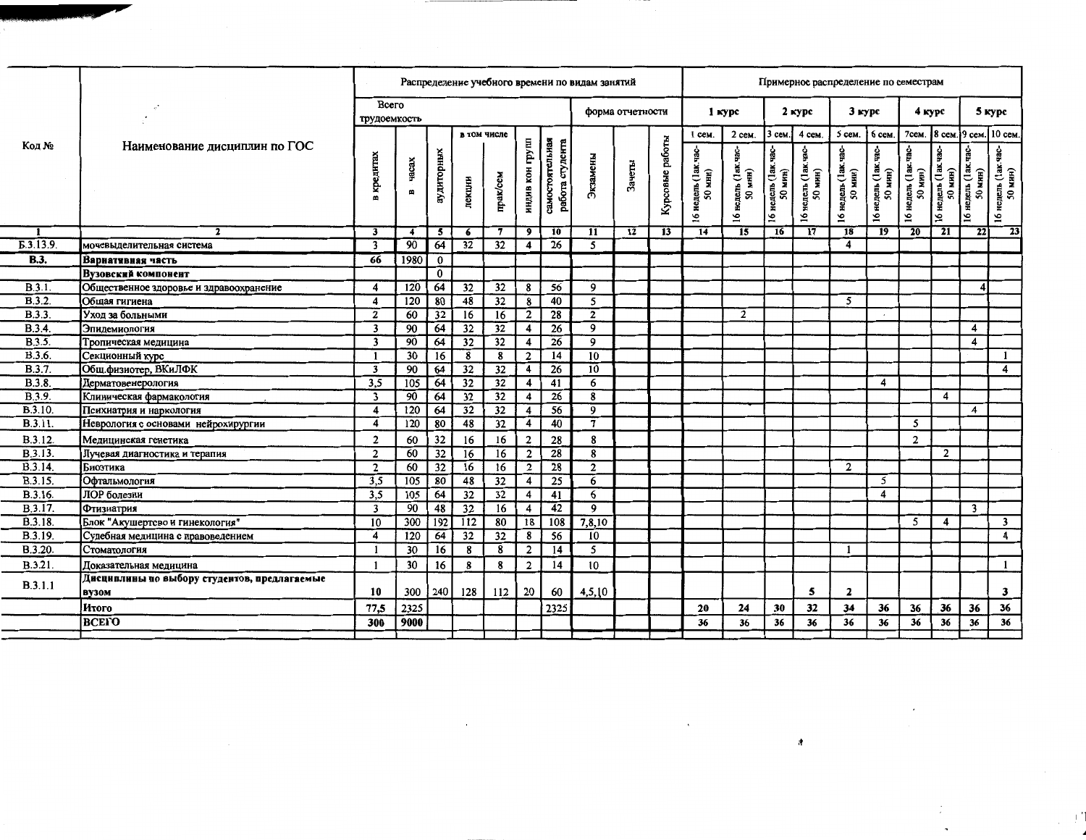|                    |                                                       |                            |                  |                 |                 |                 |                         |                                    | Распределение учебного времени по видам занятий |                  |                 |                                        |                                                              |                                                              | Примерное распределение по семестрам     |                                            |                                                               |                                   |                                            |                                    |                                    |
|--------------------|-------------------------------------------------------|----------------------------|------------------|-----------------|-----------------|-----------------|-------------------------|------------------------------------|-------------------------------------------------|------------------|-----------------|----------------------------------------|--------------------------------------------------------------|--------------------------------------------------------------|------------------------------------------|--------------------------------------------|---------------------------------------------------------------|-----------------------------------|--------------------------------------------|------------------------------------|------------------------------------|
|                    |                                                       | Всего<br>трудоемкость      |                  |                 |                 |                 |                         |                                    |                                                 | форма отчетности |                 |                                        | 1 курс                                                       |                                                              | 2 курс                                   | 3 курс                                     |                                                               | 4 курс                            |                                            |                                    | 5 курс                             |
|                    |                                                       |                            |                  |                 | в том числе     |                 |                         |                                    |                                                 |                  |                 | $1$ cem                                | $2$ сем.                                                     | 3 сем.                                                       | 4 сем.                                   | 5 сем.                                     | 6 сем.                                                        | 7сем.                             | . 18 сем.19 сем.110 сем.                   |                                    |                                    |
| Код №              | Наименование дисциплин по ГОС                         | кредитах<br>$\blacksquare$ | vacax<br>B       | аудиторных      | лекции          | прак/сем        | индив кон групп         | самостоятельная<br>работа студента | Экзамены                                        | Зачеты           | Курсовые работы | -agh<br>недель (1ак<br>мнн)<br>ş,<br>5 | -cer<br>недель (1ак.<br>мнн)<br>$\overline{\mathbf{S}}$<br>5 | чaс-<br>недель (1ак<br>мин)<br>$\overline{\mathbf{S}}$<br>51 | эg<br>Бр<br>недель (1ак<br>50 мнн)<br>51 | .<br>Эвр<br>недель (1ак<br>мин)<br>ສ<br>91 | ខ្លុំ<br>недель (1ак<br>мин)<br>$\overline{\mathbf{S}}$<br>91 | ÷овP<br>16 недель (1ак<br>50 мин) | <b>Set</b><br>недель (1ак<br>50 мин)<br>91 | Sep<br>недель (1ак<br>50 мин)<br>ی | ទំ<br>недель (1ак.<br>50 мнн)<br>5 |
|                    |                                                       | $\overline{\mathbf{3}}$    | 4                | 5               | 6               | 7               | $\overline{9}$          | 10                                 | 11                                              | 12               | 13              | 14                                     | 15                                                           | $\overline{16}$                                              | $\overline{17}$                          | 18                                         | $\overline{19}$                                               | 20                                | $\overline{21}$                            | $\overline{22}$                    | 23                                 |
| Б.3.13.9           | мочевыделительная система                             | $\overline{\mathbf{3}}$    | 90               | 64              | $\overline{32}$ | $\overline{32}$ | 4                       | $\overline{26}$                    | 5                                               |                  |                 |                                        |                                                              |                                                              |                                          | 4                                          |                                                               |                                   |                                            |                                    |                                    |
| $\overline{B.3}$ . | Вариативная часть                                     | 66                         | 1980             | 0               |                 |                 |                         |                                    |                                                 |                  |                 |                                        |                                                              |                                                              |                                          |                                            |                                                               |                                   |                                            |                                    |                                    |
|                    | Вузовский компонент                                   |                            |                  | $\bf{0}$        |                 |                 |                         |                                    |                                                 |                  |                 |                                        |                                                              |                                                              |                                          |                                            |                                                               |                                   |                                            |                                    |                                    |
| B.3.1              | Общественное здоровье и здравоохранение               | 4                          | 120              | 64              | 32              | 32              | 8                       | 56                                 | 9.                                              |                  |                 |                                        |                                                              |                                                              |                                          |                                            |                                                               |                                   |                                            | 4                                  |                                    |
| B.3.2.             | Общая гигиена                                         | $\overline{\mathbf{A}}$    | $\overline{120}$ | 80              | 48              | 32              | 8                       | 40                                 | 5                                               |                  |                 |                                        |                                                              |                                                              |                                          | 5                                          |                                                               |                                   |                                            |                                    |                                    |
| B.3.3.             | Уход за больными                                      | $\overline{2}$             | 60               | 32              | 16              | 16              | $\mathbf{2}$            | 28                                 | $\overline{2}$                                  |                  |                 |                                        | $\overline{\mathbf{2}}$                                      |                                                              |                                          |                                            |                                                               |                                   |                                            |                                    |                                    |
| <b>B.3.4.</b>      | Эпидемиология                                         | $\overline{\mathbf{3}}$    | $\overline{90}$  | 64              | $\overline{32}$ | 32              | 4                       | 26                                 | 9                                               |                  |                 |                                        |                                                              |                                                              |                                          |                                            |                                                               |                                   |                                            | 4                                  |                                    |
| B.3.5.             | Тропическая медицина                                  | $\overline{\mathbf{3}}$    | 90               | 64              | $\overline{32}$ | $\overline{32}$ | 4                       | $\overline{26}$                    | 9                                               |                  |                 |                                        |                                                              |                                                              |                                          |                                            |                                                               |                                   |                                            | 4                                  |                                    |
| <b>B.3.6.</b>      | Секционный курс                                       | $\mathbf{1}$               | 30               | 16              | 8               | 8               | $\overline{2}$          | 14                                 | 10                                              |                  |                 |                                        |                                                              |                                                              |                                          |                                            |                                                               |                                   |                                            |                                    | $\mathbf{1}$                       |
| <b>B.3.7.</b>      | Общ.физиотер, ВКиЛФК                                  | $\overline{\mathbf{3}}$    | 90               | 64              | $\overline{32}$ | 32              | 4                       | 26                                 | 10                                              |                  |                 |                                        |                                                              |                                                              |                                          |                                            |                                                               |                                   |                                            |                                    | 4                                  |
| B.3.8.             | Дерматовенерология                                    | 3,5                        | 105              | 64              | 32              | 32              | 4                       | 41                                 | 6                                               |                  |                 |                                        |                                                              |                                                              |                                          |                                            | 4                                                             |                                   |                                            |                                    |                                    |
| B.3.9.             | Клиническая фармакология                              | $\overline{\mathbf{3}}$    | $\overline{90}$  | 64              | 32              | 32              | 4                       | $\overline{26}$                    | $\overline{\mathbf{8}}$                         |                  |                 |                                        |                                                              |                                                              |                                          |                                            |                                                               |                                   | 4                                          |                                    |                                    |
| <b>B.3.10.</b>     | Психиатрия и наркология                               | 4                          | 120              | 64              | $\overline{32}$ | 32              | 4                       | 56                                 | $\mathbf{q}$                                    |                  |                 |                                        |                                                              |                                                              |                                          |                                            |                                                               |                                   |                                            | 4                                  |                                    |
| B.3.11.            | Неврология с основами нейрохирургии                   | $\overline{\mathbf{4}}$    | 120              | 80              | 48              | $\overline{32}$ | 4                       | 40                                 | $\mathcal{I}$                                   |                  |                 |                                        |                                                              |                                                              |                                          |                                            |                                                               | 5                                 |                                            |                                    |                                    |
| <b>B.3.12.</b>     | Медицинская генетика                                  | $\overline{2}$             | 60               | 32              | 16              | 16              | $\overline{2}$          | 28                                 | 8                                               |                  |                 |                                        |                                                              |                                                              |                                          |                                            |                                                               | $\overline{2}$                    |                                            |                                    |                                    |
| <b>B.3.13.</b>     | Лучевая диагностика и терапия                         | $\overline{2}$             | 60               | $\overline{32}$ | 16              | 16              | $\overline{2}$          | $\overline{28}$                    | $\overline{\mathbf{8}}$                         |                  |                 |                                        |                                                              |                                                              |                                          |                                            |                                                               |                                   | $\overline{2}$                             |                                    |                                    |
| <b>B.3.14.</b>     | Биоэтика                                              | $\overline{2}$             | 60               | 32              | 16              | 16              | $\overline{\mathbf{2}}$ | 28                                 | $\overline{2}$                                  |                  |                 |                                        |                                                              |                                                              |                                          | $\overline{2}$                             |                                                               |                                   |                                            |                                    |                                    |
| B.3.15.            | Офтальмология                                         | 3,5                        | 105              | 80              | 48              | $\overline{32}$ | $\overline{\mathbf{4}}$ | 25                                 | 6                                               |                  |                 |                                        |                                                              |                                                              |                                          |                                            | 5                                                             |                                   |                                            |                                    |                                    |
| <b>B.3.16.</b>     | ЛОР болезни                                           | 3,5                        | 105              | 64              | 32              | 32              | 4                       | 41                                 | 6                                               |                  |                 |                                        |                                                              |                                                              |                                          |                                            | 4                                                             |                                   |                                            |                                    |                                    |
| <b>B.3.17.</b>     | Фтизиатрия                                            | 3                          | 90               | 48              | $\overline{32}$ | $\overline{16}$ | 4                       | 42                                 | $\overline{9}$                                  |                  |                 |                                        |                                                              |                                                              |                                          |                                            |                                                               |                                   |                                            | $\overline{\mathbf{3}}$            |                                    |
| <b>B.3.18.</b>     | Блок "Акушертсво и гинекология"                       | 10                         | 300              | 192             | 112             | 80              | 18                      | 108                                | 7,8,10                                          |                  |                 |                                        |                                                              |                                                              |                                          |                                            |                                                               | 5                                 | 4                                          |                                    | $\overline{\mathbf{3}}$            |
| B.3.19.            | Судебная медицина с правоведением                     | $\overline{\mathbf{4}}$    | 120              | 64              | 32              | 32              | 8                       | 56                                 | 10                                              |                  |                 |                                        |                                                              |                                                              |                                          |                                            |                                                               |                                   |                                            |                                    | 4                                  |
| <b>B.3.20.</b>     | Стоматология                                          | $\mathbf{1}$               | 30               | 16              | 8               | 8               | $\overline{a}$          | 14                                 | 5                                               |                  |                 |                                        |                                                              |                                                              |                                          | -1                                         |                                                               |                                   |                                            |                                    |                                    |
| B.3.21.            | Доказательная медицина                                | $\mathbf{1}$               | 30               | 16              | 8               | 8               | $\overline{\mathbf{2}}$ | 14                                 | 10                                              |                  |                 |                                        |                                                              |                                                              |                                          |                                            |                                                               |                                   |                                            |                                    | $\mathbf{1}$                       |
| B.3.1.1            | Дисциплины по выбору студентов, предлагаемые<br>вузом | 10                         | 300              | 240 l           | 128             | 112             | 20                      | 60                                 | 4,5,10                                          |                  |                 |                                        |                                                              |                                                              | 5                                        | $\mathbf{2}$                               |                                                               |                                   |                                            |                                    | $\mathbf{3}$                       |
|                    | Итого                                                 | 77.5                       | 2325             |                 |                 |                 |                         | 2325                               |                                                 |                  |                 | 20                                     | 24                                                           | 30                                                           | 32                                       | 34                                         | 36                                                            | 36                                | 36                                         | 36                                 | 36                                 |
|                    | <b>ВСЕГО</b>                                          | 300                        | 9000             |                 |                 |                 |                         |                                    |                                                 |                  |                 | 36                                     | 36                                                           | 36                                                           | 36                                       | 36                                         | 36                                                            | 36                                | 36                                         | 36                                 | 36                                 |
|                    |                                                       |                            |                  |                 |                 |                 |                         |                                    |                                                 |                  |                 |                                        |                                                              |                                                              |                                          |                                            |                                                               |                                   |                                            |                                    |                                    |

 $\sim 100$ 

đ